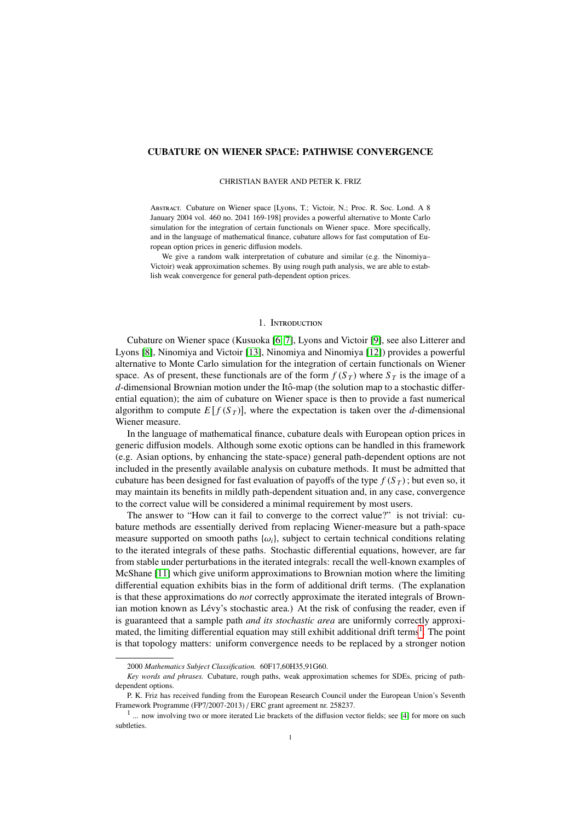# CUBATURE ON WIENER SPACE: PATHWISE CONVERGENCE

#### CHRISTIAN BAYER AND PETER K. FRIZ

Abstract. Cubature on Wiener space [Lyons, T.; Victoir, N.; Proc. R. Soc. Lond. A 8 January 2004 vol. 460 no. 2041 169-198] provides a powerful alternative to Monte Carlo simulation for the integration of certain functionals on Wiener space. More specifically, and in the language of mathematical finance, cubature allows for fast computation of European option prices in generic diffusion models.

We give a random walk interpretation of cubature and similar (e.g. the Ninomiya– Victoir) weak approximation schemes. By using rough path analysis, we are able to establish weak convergence for general path-dependent option prices.

### 1. Introduction

Cubature on Wiener space (Kusuoka [\[6,](#page-13-0) [7\]](#page-13-1), Lyons and Victoir [\[9\]](#page-13-2), see also Litterer and Lyons [\[8\]](#page-13-3), Ninomiya and Victoir [\[13\]](#page-13-4), Ninomiya and Ninomiya [\[12\]](#page-13-5)) provides a powerful alternative to Monte Carlo simulation for the integration of certain functionals on Wiener space. As of present, these functionals are of the form  $f(S_T)$  where  $S_T$  is the image of a *d*-dimensional Brownian motion under the Itô-map (the solution map to a stochastic differential equation); the aim of cubature on Wiener space is then to provide a fast numerical algorithm to compute  $E[f(S_T)]$ , where the expectation is taken over the *d*-dimensional Wiener measure.

In the language of mathematical finance, cubature deals with European option prices in generic diffusion models. Although some exotic options can be handled in this framework (e.g. Asian options, by enhancing the state-space) general path-dependent options are not included in the presently available analysis on cubature methods. It must be admitted that cubature has been designed for fast evaluation of payoffs of the type  $f(S_T)$ ; but even so, it may maintain its benefits in mildly path-dependent situation and, in any case, convergence to the correct value will be considered a minimal requirement by most users.

The answer to "How can it fail to converge to the correct value?" is not trivial: cubature methods are essentially derived from replacing Wiener-measure but a path-space measure supported on smooth paths  $\{\omega_i\}$ , subject to certain technical conditions relating to the iterated integrals of these paths. Stochastic differential equations, however, are far from stable under perturbations in the iterated integrals: recall the well-known examples of McShane [\[11\]](#page-13-6) which give uniform approximations to Brownian motion where the limiting differential equation exhibits bias in the form of additional drift terms. (The explanation is that these approximations do *not* correctly approximate the iterated integrals of Brownian motion known as Lévy's stochastic area.) At the risk of confusing the reader, even if is guaranteed that a sample path *and its stochastic area* are uniformly correctly approxi-mated, the limiting differential equation may still exhibit additional drift terms<sup>[1](#page-0-0)</sup>. The point is that topology matters: uniform convergence needs to be replaced by a stronger notion

<sup>2000</sup> *Mathematics Subject Classification.* 60F17,60H35,91G60.

*Key words and phrases.* Cubature, rough paths, weak approximation schemes for SDEs, pricing of pathdependent options.

P. K. Friz has received funding from the European Research Council under the European Union's Seventh Framework Programme (FP7/2007-2013) / ERC grant agreement nr. 258237.

<span id="page-0-0"></span><sup>&</sup>lt;sup>1</sup> ... now involving two or more iterated Lie brackets of the diffusion vector fields; see [\[4\]](#page-13-7) for more on such subtleties.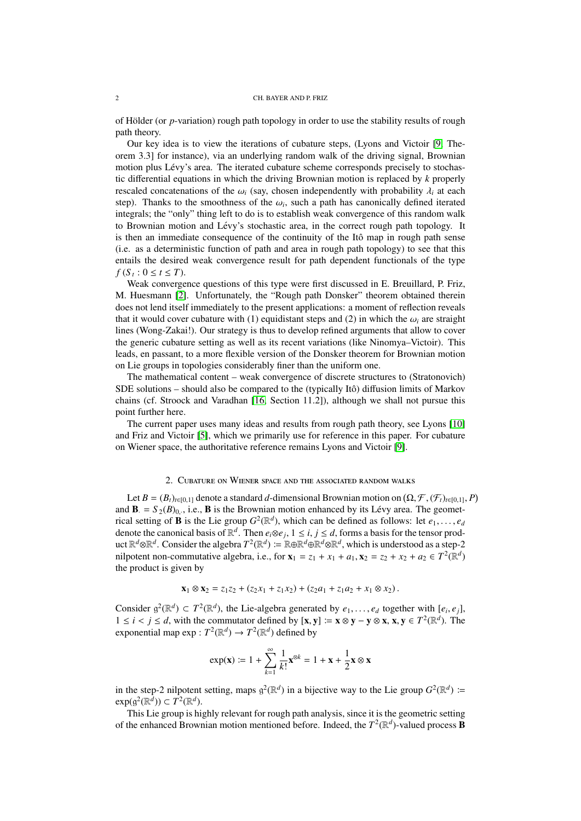#### 2 CH. BAYER AND P. FRIZ

of Hölder (or *p*-variation) rough path topology in order to use the stability results of rough path theory.

Our key idea is to view the iterations of cubature steps, (Lyons and Victoir [\[9,](#page-13-2) Theorem 3.3] for instance), via an underlying random walk of the driving signal, Brownian motion plus Lévy's area. The iterated cubature scheme corresponds precisely to stochastic differential equations in which the driving Brownian motion is replaced by *k* properly rescaled concatenations of the  $\omega_i$  (say, chosen independently with probability  $\lambda_i$  at each step). Thanks to the smoothness of the  $\omega_i$ , such a path has canonically defined iterated<br>integrals: the "only" thing left to do is to establish weak convergence of this random walk integrals; the "only" thing left to do is to establish weak convergence of this random walk to Brownian motion and Lévy's stochastic area, in the correct rough path topology. It is then an immediate consequence of the continuity of the Itô map in rough path sense (i.e. as a deterministic function of path and area in rough path topology) to see that this entails the desired weak convergence result for path dependent functionals of the type *f* (*S*<sub>*t*</sub> :  $0 \le t \le T$ ).

Weak convergence questions of this type were first discussed in E. Breuillard, P. Friz, M. Huesmann [\[2\]](#page-13-8). Unfortunately, the "Rough path Donsker" theorem obtained therein does not lend itself immediately to the present applications: a moment of reflection reveals that it would cover cubature with (1) equidistant steps and (2) in which the  $\omega_i$  are straight lines (Wong-Zakai!). Our strategy is thus to develop refined arguments that allow to cover the generic cubature setting as well as its recent variations (like Ninomya–Victoir). This leads, en passant, to a more flexible version of the Donsker theorem for Brownian motion on Lie groups in topologies considerably finer than the uniform one.

The mathematical content – weak convergence of discrete structures to (Stratonovich) SDE solutions – should also be compared to the (typically Itô) diffusion limits of Markov chains (cf. Stroock and Varadhan [\[16,](#page-13-9) Section 11.2]), although we shall not pursue this point further here.

The current paper uses many ideas and results from rough path theory, see Lyons [\[10\]](#page-13-10) and Friz and Victoir [\[5\]](#page-13-11), which we primarily use for reference in this paper. For cubature on Wiener space, the authoritative reference remains Lyons and Victoir [\[9\]](#page-13-2).

## 2. Cubature on Wiener space and the associated random walks

<span id="page-1-0"></span>Let  $B = (B_t)_{t \in [0,1]}$  denote a standard *d*-dimensional Brownian motion on  $(\Omega, \mathcal{F}, (\mathcal{F}_t)_{t \in [0,1]}, P)$ <br>  $\mathbf{B} = S_0(B)$ , i.e.  $\mathbf{B}$  is the Brownian motion enhanced by its I évy area. The geometand  $\mathbf{B} = S_2(B)_{0,1}$ , i.e.,  $\mathbf{B}$  is the Brownian motion enhanced by its Lévy area. The geometrical estimates of  $\mathbf{B}$  is the Lie group  $C_2^2(\mathbb{R}^d)$ , which can be defined as follower let all rical setting of **B** is the Lie group  $G^2(\mathbb{R}^d)$ , which can be defined as follows: let  $e_1, \ldots, e_d$ <br>denote the canonical basis of  $\mathbb{R}^d$ . Then  $e \otimes e_1 \cdot 1 \le i \le d$  forms a basis for the tensor proddenote the canonical basis of  $\mathbb{R}^d$ . Then  $e_i \otimes e_j$ ,  $1 \le i, j \le d$ , forms a basis for the tensor prod-<br>uct  $\mathbb{R}^d \otimes \mathbb{R}^d$ . Consider the algebra  $T^2(\mathbb{R}^d) := \mathbb{R} \otimes \mathbb{R}^d \otimes \mathbb{R}^d \otimes \mathbb{R}^d$ , which is un uct  $\mathbb{R}^d$ ⊗ $\mathbb{R}^d$ . Consider the algebra  $T^2(\mathbb{R}^d) := \mathbb{R} \oplus \mathbb{R}^d \oplus \mathbb{R}^d \otimes \mathbb{R}^d$ , which is understood as a step-2 nilpotent non-commutative algebra, i.e., for  $\mathbf{x}_1 = z_1 + x_1 + a_1$ ,  $\mathbf{x}_2 = z_2 + x_2 + a_2 \in T^2(\mathbb{R}^d)$ <br>the product is given by the product is given by

$$
\mathbf{x}_1 \otimes \mathbf{x}_2 = z_1 z_2 + (z_2 x_1 + z_1 x_2) + (z_2 a_1 + z_1 a_2 + x_1 \otimes x_2).
$$

Consider  $g^2(\mathbb{R}^d) \subset T^2(\mathbb{R}^d)$ , the Lie-algebra generated by  $e_1, \ldots, e_d$  together with  $[e_i, e_j]$ ,  $1 \le i \le d$  with the commutator defined by  $[\mathbf{x}, \mathbf{y}] \coloneqq \mathbf{x} \otimes \mathbf{y} - \mathbf{y} \otimes \mathbf{y} \times \mathbf{y} \in T^2(\mathbb{R}^d)$ . The  $1 \le i < j \le d$ , with the commutator defined by  $[\mathbf{x}, \mathbf{y}] := \mathbf{x} \otimes \mathbf{y} - \mathbf{y} \otimes \mathbf{x}, \mathbf{x}, \mathbf{y} \in T^2(\mathbb{R}^d)$ . The exponential map exp :  $T^2(\mathbb{R}^d) \to T^2(\mathbb{R}^d)$  defined by exponential map  $\exp: T^2(\mathbb{R}^d) \to T^2(\mathbb{R}^d)$  defined by

$$
\exp(\mathbf{x}) \coloneqq 1 + \sum_{k=1}^{\infty} \frac{1}{k!} \mathbf{x}^{\otimes k} = 1 + \mathbf{x} + \frac{1}{2} \mathbf{x} \otimes \mathbf{x}
$$

in the step-2 nilpotent setting, maps  $g^2(\mathbb{R}^d)$  in a bijective way to the Lie group  $G^2(\mathbb{R}^d)$  :=  $\exp(g^2(\mathbb{R}^d)) \subset T^2(\mathbb{R}^d)$ .

This Lie group is highly relevant for rough path analysis, since it is the geometric setting of the enhanced Brownian motion mentioned before. Indeed, the  $T^2(\mathbb{R}^d)$ -valued process **B**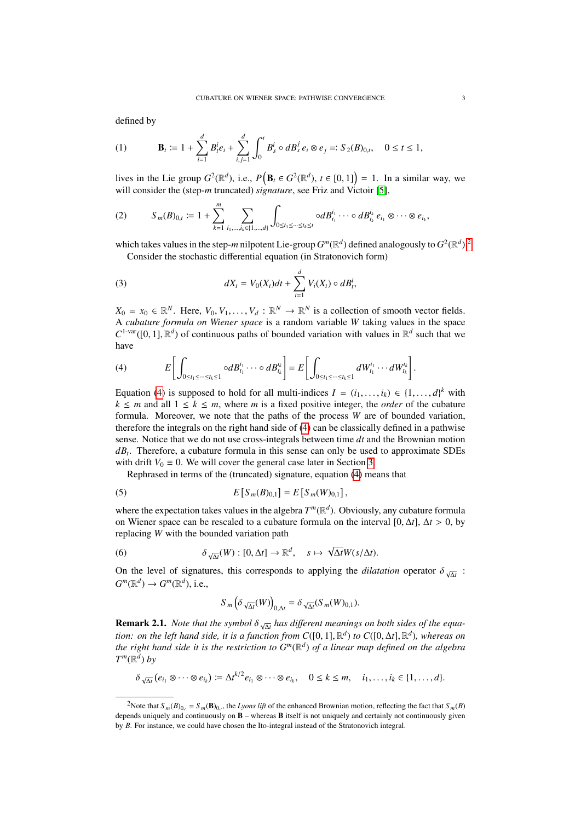defined by

(1) 
$$
\mathbf{B}_t := 1 + \sum_{i=1}^d B_t^i e_i + \sum_{i,j=1}^d \int_0^t B_s^i \circ dB_s^j e_i \otimes e_j =: S_2(B)_{0,t}, \quad 0 \le t \le 1,
$$

lives in the Lie group  $G^2(\mathbb{R}^d)$ , i.e.,  $P(\mathbf{B}_t \in G^2(\mathbb{R}^d))$ ,  $t \in [0,1]$  = 1. In a similar way, we will consider the (step *m* truncated) signature, see Friz and Victoir [5]. will consider the (step-*m* truncated) *signature*, see Friz and Victoir [\[5\]](#page-13-11),

$$
(2) \tS_m(B)_{0,t} := 1 + \sum_{k=1}^m \sum_{i_1,\dots,i_k \in \{1,\dots,d\}} \int_{0 \le t_1 \le \dots \le t_k \le t} \circ dB_{t_1}^{i_1} \cdots \circ dB_{t_k}^{i_k} e_{i_1} \otimes \cdots \otimes e_{i_k},
$$

which takes values in the step-*m* nilpotent Lie-group  $G^m(\mathbb{R}^d)$  defined analogously to  $G^2(\mathbb{R}^d)$  $G^2(\mathbb{R}^d)$  $G^2(\mathbb{R}^d)$ .<sup>2</sup> Consider the stochastic differential equation (in Stratonovich form)

<span id="page-2-2"></span>(3) 
$$
dX_t = V_0(X_t)dt + \sum_{i=1}^d V_i(X_t) \circ dB_t^i,
$$

 $X_0 = x_0 \in \mathbb{R}^N$ . Here,  $V_0, V_1, \ldots, V_d : \mathbb{R}^N \to \mathbb{R}^N$  is a collection of smooth vector fields. A *cubature formula on Wiener space* is a random variable *W* taking values in the space  $C^{1-var}([0, 1], \mathbb{R}^d)$  of continuous paths of bounded variation with values in  $\mathbb{R}^d$  such that we have

<span id="page-2-1"></span>(4) 
$$
E\left[\int_{0\leq t_1\leq \cdots \leq t_k\leq 1} \circ dB_{t_1}^{i_1}\cdots \circ dB_{t_k}^{i_k}\right] = E\left[\int_{0\leq t_1\leq \cdots \leq t_k\leq 1} dW_{t_1}^{i_1}\cdots dW_{t_k}^{i_k}\right].
$$

Equation [\(4\)](#page-2-1) is supposed to hold for all multi-indices  $I = (i_1, \ldots, i_k) \in \{1, \ldots, d\}^k$  with  $k \le m$  and all  $1 \le k \le m$  where m is a fixed positive integer the *order* of the cubature  $k \leq m$  and all  $1 \leq k \leq m$ , where *m* is a fixed positive integer, the *order* of the cubature formula. Moreover, we note that the paths of the process *W* are of bounded variation, therefore the integrals on the right hand side of [\(4\)](#page-2-1) can be classically defined in a pathwise sense. Notice that we do not use cross-integrals between time *dt* and the Brownian motion *dB<sup>t</sup>* . Therefore, a cubature formula in this sense can only be used to approximate SDEs with drift  $V_0 \equiv 0$ . We will cover the general case later in Section [3.](#page-5-0)

Rephrased in terms of the (truncated) signature, equation [\(4\)](#page-2-1) means that

(5) 
$$
E\left[S_m(B)_{0,1}\right] = E\left[S_m(W)_{0,1}\right],
$$

where the expectation takes values in the algebra  $T^m(\mathbb{R}^d)$ . Obviously, any cubature formula on Wiener space can be rescaled to a cubature formula on the interval  $[0, \Delta t]$ ,  $\Delta t > 0$ , by replacing *W* with the bounded variation path

(6) 
$$
\delta_{\sqrt{\Delta t}}(W):[0,\Delta t]\to\mathbb{R}^d, \quad s\mapsto \sqrt{\Delta t}W(s/\Delta t).
$$

On the level of signatures, this corresponds to applying the *dilatation* operator  $\delta_{\sqrt{\Delta t}}$ :<br>  $C^m(\mathbb{R}^d)$ ,  $\delta_{\sqrt{\Delta t}}$  $G^m(\mathbb{R}^d) \to G^m(\mathbb{R}^d)$ , i.e.,

$$
S_m\left(\delta \sqrt{\Delta t}(W)\right)_{0,\Delta t} = \delta \sqrt{\Delta t}(S_m(W)_{0,1}).
$$

**Remark 2.1.** *Note that the symbol*  $\delta_{\sqrt{\Delta t}}$  *has different meanings on both sides of the equations on the left hand side it is a function from*  $C(0, 11, \mathbb{R}^d)$  *to*  $C(0, \Delta t, \mathbb{R}^d)$ *, whereas on tion: on the left hand side, it is a function from C*([0, 1],  $\mathbb{R}^d$ ) *to C*([0,  $\Delta t$ ],  $\mathbb{R}^d$ ), whereas on<br>*the right hand side it is the restriction to*  $G^m(\mathbb{R}^d)$  *of a linear man defined on the algebra the right hand side it is the restriction to G<sup>m</sup>*(R *d* ) *of a linear map defined on the algebra*  $T^m(\mathbb{R}^d)$  *by* 

$$
\delta_{\sqrt{\Delta t}}(e_{i_1}\otimes\cdots\otimes e_{i_k})\coloneqq \Delta t^{k/2}e_{i_1}\otimes\cdots\otimes e_{i_k},\quad 0\leq k\leq m,\quad i_1,\ldots,i_k\in\{1,\ldots,d\}.
$$

<span id="page-2-0"></span><sup>&</sup>lt;sup>2</sup>Note that  $S_m(B)_{0<sub>i</sub>} = S_m(B)_{0<sub>i</sub>}$ , the *Lyons lift* of the enhanced Brownian motion, reflecting the fact that  $S_m(B)$ depends uniquely and continuously on  $\bf{B}$  – whereas  $\bf{B}$  itself is not uniquely and certainly not continuously given by *B*. For instance, we could have chosen the Ito-integral instead of the Stratonovich integral.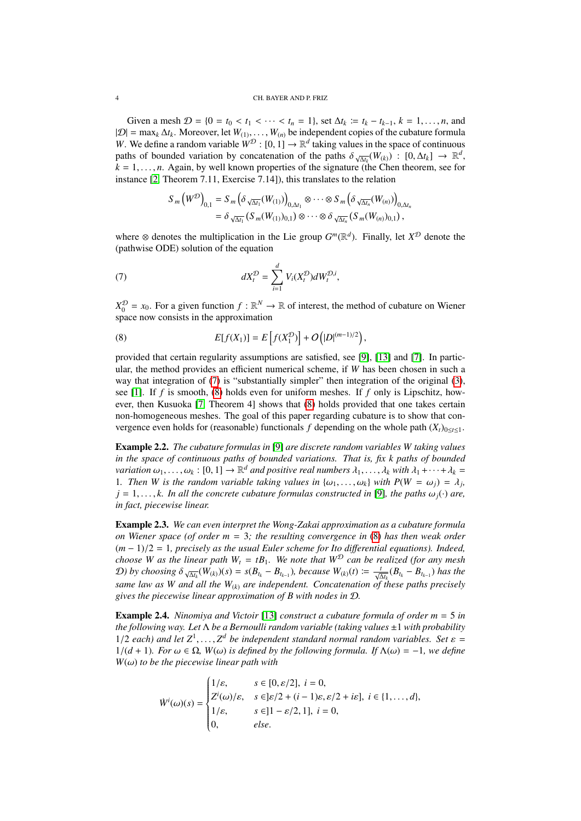#### 4 CH. BAYER AND P. FRIZ

Given a mesh  $\mathcal{D} = \{0 = t_0 < t_1 < \cdots < t_n = 1\}$ , set  $\Delta t_k \coloneqq t_k - t_{k-1}, k = 1, \ldots, n$ , and |D| <sup>=</sup> max*<sup>k</sup>* <sup>∆</sup>*tk*. Moreover, let *<sup>W</sup>*(1), . . . , *<sup>W</sup>*(*n*) be independent copies of the cubature formula *W*. We define a random variable  $W^D$ :  $[0, 1] \rightarrow \mathbb{R}^d$  taking values in the space of continuous paths of bounded variation by concatenation of the paths  $\delta$   $\rightarrow$   $(W_{\text{CD}})$ :  $[0, \Delta t] \rightarrow \mathbb{R}^d$ paths of bounded variation by concatenation of the paths  $\delta \sqrt{\Delta t_k}(W_{(k)})$ :  $[0, \Delta t_k] \rightarrow \mathbb{R}^d$ ,  $k-1$  *n* Again by well known properties of the signature (the Chen theorem see for  $k = 1, \ldots, n$ . Again, by well known properties of the signature (the Chen theorem, see for instance [\[2,](#page-13-8) Theorem 7.11, Exercise 7.14]), this translates to the relation

<span id="page-3-0"></span>
$$
S_m(W^{\mathcal{D}})_{0,1} = S_m(\delta \sqrt{\Delta t_1}(W_{(1)}))_{0,\Delta t_1} \otimes \cdots \otimes S_m(\delta \sqrt{\Delta t_n}(W_{(n)}))_{0,\Delta t_n}
$$
  
=  $\delta \sqrt{\Delta t_1}(S_m(W_{(1)})_{0,1}) \otimes \cdots \otimes \delta \sqrt{\Delta t_n}(S_m(W_{(n)})_{0,1}),$ 

where  $\otimes$  denotes the multiplication in the Lie group  $G^m(\mathbb{R}^d)$ . Finally, let  $X^{\mathcal{D}}$  denote the (pathwise ODE) solution of the equation

(7) 
$$
dX_t^{\mathcal{D}} = \sum_{i=1}^d V_i(X_t^{\mathcal{D}}) dW_t^{\mathcal{D},i},
$$

 $X_0^{\mathcal{D}} = x_0$ . For a given function  $f : \mathbb{R}^N \to \mathbb{R}$  of interest, the method of cubature on Wiener space now consists in the approximation

<span id="page-3-1"></span>(8) 
$$
E[f(X_1)] = E\left[f(X_1^{\mathcal{D}})\right] + O\left(|D|^{(m-1)/2}\right),
$$

provided that certain regularity assumptions are satisfied, see [\[9\]](#page-13-2), [\[13\]](#page-13-4) and [\[7\]](#page-13-1). In particular, the method provides an efficient numerical scheme, if *W* has been chosen in such a way that integration of [\(7\)](#page-3-0) is "substantially simpler" then integration of the original [\(3\)](#page-2-2), see [\[1\]](#page-13-12). If *f* is smooth, [\(8\)](#page-3-1) holds even for uniform meshes. If *f* only is Lipschitz, however, then Kusuoka [\[7,](#page-13-1) Theorem 4] shows that [\(8\)](#page-3-1) holds provided that one takes certain non-homogeneous meshes. The goal of this paper regarding cubature is to show that convergence even holds for (reasonable) functionals *f* depending on the whole path  $(X_t)_{0 \le t \le 1}$ .

<span id="page-3-2"></span>Example 2.2. *The cubature formulas in* [\[9\]](#page-13-2) *are discrete random variables W taking values in the space of continuous paths of bounded variations. That is, fix k paths of bounded variation*  $\omega_1, \ldots, \omega_k : [0, 1] \to \mathbb{R}^d$  *and positive real numbers*  $\lambda_1, \ldots, \lambda_k$  *with*  $\lambda_1 + \cdots + \lambda_k = 1$ . Then W is the random variable taking values in  $\lambda_1, \ldots, \lambda_k$  with  $P(W - \omega_1) = \lambda_k$ . 1*. Then W is the random variable taking values in*  $\{\omega_1, \dots, \omega_k\}$  *with*  $P(W = \omega_j) = \lambda_j$ ,  $j = 1, \dots, k$  In all the concrete cubature formulas constructed in [9], the naths  $\omega_j(\cdot)$  are  $j = 1, \ldots, k$ . In all the concrete cubature formulas constructed in [\[9\]](#page-13-2), the paths  $\omega_j(\cdot)$  are, *in fact, piecewise linear.*

<span id="page-3-4"></span>Example 2.3. *We can even interpret the Wong-Zakai approximation as a cubature formula on Wiener space (of order m* = 3*; the resulting convergence in* [\(8\)](#page-3-1) *has then weak order* (*<sup>m</sup>* <sup>−</sup> 1)/<sup>2</sup> <sup>=</sup> <sup>1</sup>*, precisely as the usual Euler scheme for Ito di*ff*erential equations). Indeed, choose W as the linear path*  $W_t = tB_1$ *. We note that*  $W^D$  *can be realized (for any mesh* D) by choosing  $\delta_{\sqrt{\Delta t_k}}(\overline{W}_{(k)})$  (s) =  $s(B_{t_k} - B_{t_{k-1}})$ , because  $W_{(k)}(t) := \frac{t}{\sqrt{\Delta t_k}} (B_{t_k} - B_{t_{k-1}})$  has the *same law as W and all the W*(*k*) *are independent. Concatenation of these paths precisely gives the piecewise linear approximation of B with nodes in* D*.*

<span id="page-3-3"></span>Example 2.4. *Ninomiya and Victoir* [\[13\]](#page-13-4) *construct a cubature formula of order m* = 5 *in the following way. Let* Λ *be a Bernoulli random variable (taking values* ±1 *with probability* 1/2 *each*) and let  $Z^1, \ldots, Z^d$  be independent standard normal random variables. Set  $\varepsilon = 1/(d+1)$  For  $\omega \in \Omega$ ,  $W(\omega)$  is defined by the following formula If  $\Lambda(\omega) = -1$ , we define <sup>1</sup>/(*<sup>d</sup>* <sup>+</sup> 1)*. For* ω <sup>∈</sup> <sup>Ω</sup>*, W*(ω) *is defined by the following formula. If* <sup>Λ</sup>(ω) <sup>=</sup> <sup>−</sup>1*, we define <sup>W</sup>*(ω) *to be the piecewise linear path with*

$$
\dot{W}^{i}(\omega)(s) = \begin{cases}\n1/\varepsilon, & s \in [0, \varepsilon/2], i = 0, \\
Z^{i}(\omega)/\varepsilon, & s \in ]\varepsilon/2 + (i - 1)\varepsilon, \varepsilon/2 + i\varepsilon], i \in \{1, ..., d\}, \\
1/\varepsilon, & s \in ]1 - \varepsilon/2, 1], i = 0, \\
0, & else.\n\end{cases}
$$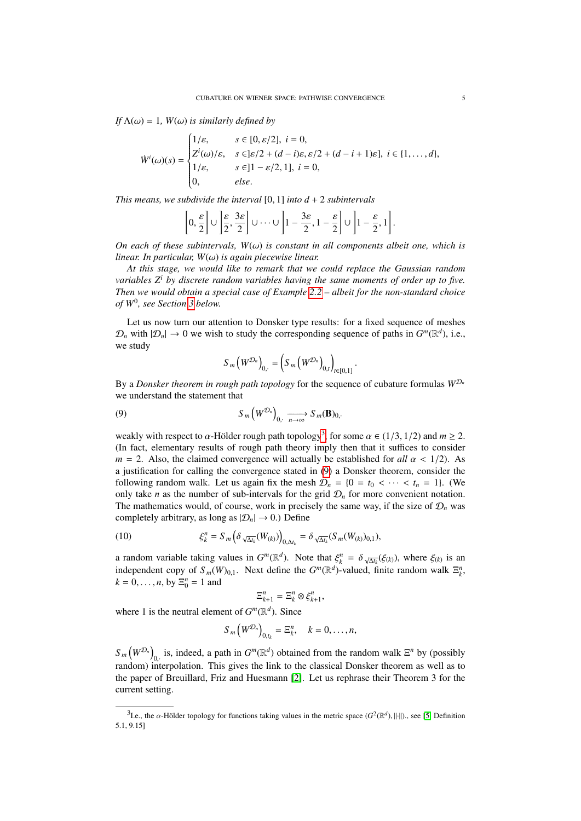*If*  $\Lambda(\omega) = 1$ *, W*( $\omega$ *) is similarly defined by* 

$$
\dot{W}^{i}(\omega)(s) = \begin{cases}\n1/\varepsilon, & s \in [0, \varepsilon/2], i = 0, \\
Z^{i}(\omega)/\varepsilon, & s \in ]\varepsilon/2 + (d - i)\varepsilon, \varepsilon/2 + (d - i + 1)\varepsilon], i \in \{1, ..., d\}, \\
1/\varepsilon, & s \in ]1 - \varepsilon/2, 1], i = 0, \\
0, & else.\n\end{cases}
$$

*This means, we subdivide the interval* [0, 1] *into d* <sup>+</sup> <sup>2</sup> *subintervals*

$$
\left[0,\frac{\varepsilon}{2}\right]\cup\left]\frac{\varepsilon}{2},\frac{3\varepsilon}{2}\right]\cup\cdots\cup\left]1-\frac{3\varepsilon}{2},1-\frac{\varepsilon}{2}\right]\cup\left]1-\frac{\varepsilon}{2},1\right].
$$

*On each of these subintervals,*  $W(\omega)$  *is constant in all components albeit one, which is linear. In particular, W*(ω) *is again piecewise linear.*

*At this stage, we would like to remark that we could replace the Gaussian random variables Z<sup>i</sup> by discrete random variables having the same moments of order up to five. Then we would obtain a special case of Example [2.2](#page-3-2) – albeit for the non-standard choice of W*<sup>0</sup> *, see Section [3](#page-5-0) below.*

Let us now turn our attention to Donsker type results: for a fixed sequence of meshes  $\mathcal{D}_n$  with  $|\mathcal{D}_n| \to 0$  we wish to study the corresponding sequence of paths in  $G^m(\mathbb{R}^d)$ , i.e., we study

<span id="page-4-1"></span>
$$
S_m (W^{\mathcal{D}_n})_{0, \cdot} = \left( S_m (W^{\mathcal{D}_n})_{0, t} \right)_{t \in [0, 1]}.
$$

By a *Donsker theorem in rough path topology* for the sequence of cubature formulas  $W^{\mathcal{D}_n}$ we understand the statement that

(9) 
$$
S_m(W^{\mathcal{D}_n})_{0, \ldots, n \to \infty} S_m(\mathbf{B})_{0, \ldots}
$$

weakly with respect to  $\alpha$ -Hölder rough path topology<sup>[3](#page-4-0)</sup>, for some  $\alpha \in (1/3, 1/2)$  and  $m \ge 2$ .<br>(In fact, elementary results of rough path theory imply then that it suffices to consider (In fact, elementary results of rough path theory imply then that it suffices to consider  $m = 2$ . Also, the claimed convergence will actually be established for *all*  $\alpha < 1/2$ ). As a justification for calling the convergence stated in [\(9\)](#page-4-1) a Donsker theorem, consider the following random walk. Let us again fix the mesh  $\mathcal{D}_n = \{0 = t_0 < \cdots < t_n = 1\}$ . (We only take *n* as the number of sub-intervals for the grid  $\mathcal{D}_n$  for more convenient notation. The mathematics would, of course, work in precisely the same way, if the size of  $\mathcal{D}_n$  was completely arbitrary, as long as  $|\mathcal{D}_n| \to 0$ .) Define

(10) 
$$
\xi_k^n = S_m \left( \delta_{\sqrt{\Delta t_k}}(W_{(k)}) \right)_{0, \Delta t_k} = \delta_{\sqrt{\Delta t_k}}(S_m(W_{(k)})_{0,1}),
$$

a random variable taking values in  $G^m(\mathbb{R}^d)$ . Note that  $\xi_k^n = \delta \frac{\zeta}{\sqrt{\Delta k}}(\xi_k)$ , where  $\xi_k$  is an independent equal of  $S(\mathcal{U})$ . Note define the  $G^m(\mathbb{R}^d)$  valued finite readom walk  $\mathbb{R}^n$ . independent copy of  $S_m(W)_{0,1}$ . Next define the  $G^m(\mathbb{R}^d)$ -valued, finite random walk  $\Xi^n_k$ ,  $k = 0, ..., n$ , by  $\Xi_0^n = 1$  and

$$
\Xi_{k+1}^n = \Xi_k^n \otimes \xi_{k+1}^n,
$$

where 1 is the neutral element of  $G^m(\mathbb{R}^d)$ . Since

$$
S_m\left(W^{\mathcal{D}_n}\right)_{0,t_k}=\Xi_k^n,\quad k=0,\ldots,n,
$$

 $S_m(W^{\mathcal{D}_n})$ <sub>0</sub> is, indeed, a path in  $G^m(\mathbb{R}^d)$  obtained from the random walk  $\Xi^n$  by (possibly  $\sum_{n=1}^{\infty}$  ( $\sum_{n=1}^{\infty}$ ,  $\sum_{n=1}^{\infty}$ ,  $\sum_{n=1}^{\infty}$  of  $\sum_{n=1}^{\infty}$  columned from the classical Donsker theorem as well as to the paper of Breuillard, Friz and Huesmann [\[2\]](#page-13-8). Let us rephrase their Theorem 3 for the current setting.

<span id="page-4-0"></span><sup>&</sup>lt;sup>3</sup>Le., the α-Hölder topology for functions taking values in the metric space  $(G^2(\mathbb{R}^d), ||.||)$ ., see [\[5,](#page-13-11) Definition 0.151] 5.1, 9.15]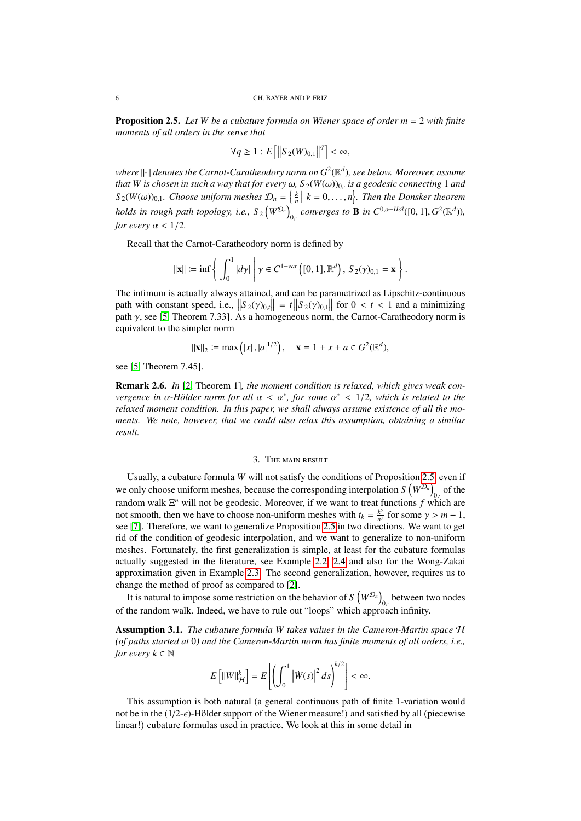<span id="page-5-1"></span>Proposition 2.5. *Let W be a cubature formula on Wiener space of order m* = 2 *with finite moments of all orders in the sense that*

$$
\forall q \geq 1 : E\left[\left\|S_2(W)_{0,1}\right\|^q\right] < \infty,
$$

where  $\left\| \cdot \right\|$  denotes the Carnot-Caratheodory norm on  $G^2(\mathbb{R}^d)$ , see below. Moreover, assume *that W is chosen in such a way that for every*  $\omega$ *,*  $S_2(W(\omega))_0$ , *is a geodesic connecting* 1 *and*<br> $S_4(W(\omega))$  . Choose with we usely  $\Omega = \frac{k+1}{k} = 0$  and Then the Daughan theorem  $S_2(W(\omega))_{0,1}$ . Choose uniform meshes  $\mathcal{D}_n = \left\{ \frac{k}{n} \mid k = 0, \ldots, n \right\}$ . Then the Donsker theorem holds in rough path topology, i.e.,  $S_2 \big( W^{\mathcal{D}_n} \big)$  $_{0,\cdot}$  *converges to* **B** *in*  $C^{0,\alpha-H\ddot{o}l}([0,1],G^2(\mathbb{R}^d))$ , *for every*  $\alpha$  < 1/2*.* 

Recall that the Carnot-Caratheodory norm is defined by

$$
\|\mathbf{x}\| := \inf \left\{ \left. \int_0^1 |d\gamma| \, \middle| \, \gamma \in C^{1-var} \left( [0,1], \mathbb{R}^d \right), \, S_2(\gamma)_{0,1} = \mathbf{x} \right. \right\}.
$$

The infimum is actually always attained, and can be parametrized as Lipschitz-continuous path with constant speed, i.e.,  $\left\| S_2(\gamma)_{0,t} \right\| = t \left\| S_2(\gamma)_{0,1} \right\|$  for  $0 < t < 1$  and a minimizing path  $\gamma$  see 15. Theorem 7.331, As a homogeneous porm the Carnot-Caratheodory porm is path  $\gamma$ , see [\[5,](#page-13-11) Theorem 7.33]. As a homogeneous norm, the Carnot-Caratheodory norm is equivalent to the simpler norm

$$
||\mathbf{x}||_2 := \max(|x|, |a|^{1/2}), \quad \mathbf{x} = 1 + x + a \in G^2(\mathbb{R}^d),
$$

see [\[5,](#page-13-11) Theorem 7.45].

Remark 2.6. *In* [\[2,](#page-13-8) Theorem 1]*, the moment condition is relaxed, which gives weak convergence in*  $α$ -Hölder norm for all  $α < α^*$ , for some  $α^* < 1/2$ , which is related to the relaxed moment condition. In this paper we shall always assume existence of all the mo*relaxed moment condition. In this paper, we shall always assume existence of all the moments. We note, however, that we could also relax this assumption, obtaining a similar result.*

## 3. The main result

<span id="page-5-0"></span>Usually, a cubature formula *W* will not satisfy the conditions of Proposition [2.5,](#page-5-1) even if we only choose uniform meshes, because the corresponding interpolation  $S(W^{D_n})$  of the random walk  $\Xi^n$  will not be geodesic. Moreover, if we want to treat functions *f* which are not smooth, then we have to choose non-uniform meshes with  $t_k = \frac{k^{\gamma}}{n^{\gamma}}$  for some  $\gamma > m - 1$ ,<br>see [7]. Therefore, we want to generalize Proposition 2.5 in two directions. We want to get see [\[7\]](#page-13-1). Therefore, we want to generalize Proposition [2.5](#page-5-1) in two directions. We want to get rid of the condition of geodesic interpolation, and we want to generalize to non-uniform meshes. Fortunately, the first generalization is simple, at least for the cubature formulas actually suggested in the literature, see Example [2.2,](#page-3-2) [2.4](#page-3-3) and also for the Wong-Zakai approximation given in Example [2.3.](#page-3-4) The second generalization, however, requires us to change the method of proof as compared to [\[2\]](#page-13-8).

It is natural to impose some restriction on the behavior of  $S(N^{D_n})$ , between two nodes of the random walk. Indeed, we have to rule out "loops" which approach infinity.

<span id="page-5-2"></span>Assumption 3.1. *The cubature formula W takes values in the Cameron-Martin space* H *(of paths started at* 0*) and the Cameron-Martin norm has finite moments of all orders, i.e., for every*  $k \in \mathbb{N}$ 

$$
E\left[\|W\|_{\mathcal{H}}^{k}\right] = E\left[\left(\int_{0}^{1} \left|\dot{W}(s)\right|^{2} ds\right)^{k/2}\right] < \infty.
$$

This assumption is both natural (a general continuous path of finite 1-variation would not be in the  $(1/2-\epsilon)$ -Hölder support of the Wiener measure!) and satisfied by all (piecewise linear!) cubature formulas used in practice. We look at this in some detail in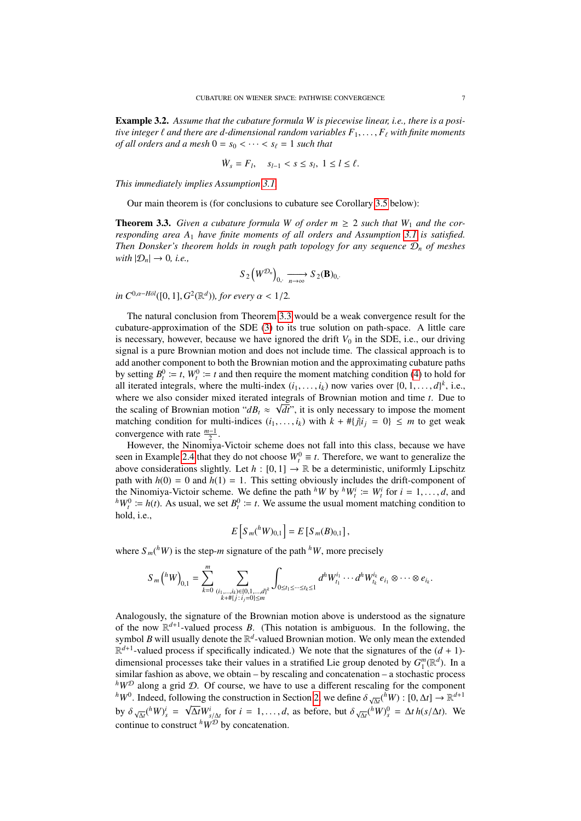Example 3.2. *Assume that the cubature formula W is piecewise linear, i.e., there is a positive integer*  $\ell$  *and there are d-dimensional random variables*  $F_1, \ldots, F_\ell$  *with finite moments of all orders and a mesh*  $0 = s_0 < \cdots < s_\ell = 1$  *such that* 

$$
\dot{W}_s = F_l, \quad s_{l-1} < s \le s_l, \ 1 \le l \le \ell.
$$

*This immediately implies Assumption [3.1.](#page-5-2)*

Our main theorem is (for conclusions to cubature see Corollary [3.5](#page-7-0) below):

<span id="page-6-0"></span>**Theorem 3.3.** *Given a cubature formula W of order m*  $\geq$  2 *such that W<sub>1</sub> and the corresponding area A*<sup>1</sup> *have finite moments of all orders and Assumption [3.1](#page-5-2) is satisfied. Then Donsker's theorem holds in rough path topology for any sequence* D*<sup>n</sup> of meshes with*  $|\mathcal{D}_n| \to 0$ , *i.e.*,

$$
S_2(W^{\mathcal{D}_n})_{0,\longrightarrow_{\infty}} S_2(\mathbf{B})_{0,\longrightarrow}
$$

 $in C^{0, \alpha - H \ddot{o}l}([0, 1], G^2(\mathbb{R}^d))$ *, for every*  $\alpha < 1/2$ *.* 

The natural conclusion from Theorem [3.3](#page-6-0) would be a weak convergence result for the cubature-approximation of the SDE [\(3\)](#page-2-2) to its true solution on path-space. A little care is necessary, however, because we have ignored the drift  $V_0$  in the SDE, i.e., our driving signal is a pure Brownian motion and does not include time. The classical approach is to add another component to both the Brownian motion and the approximating cubature paths by setting  $B_t^0 := t$ ,  $W_t^0 := t$  and then require the moment matching condition [\(4\)](#page-2-1) to hold for all iterated integrals, where the multi-index  $(i_1, \ldots, i_k)$  now varies over  $\{0, 1, \ldots, d\}^k$ , i.e., where we also consider mixed iterated integrals of Brownian motion and time t. Due to where we also consider mixed iterated integrals of Brownian motion and time  $t$ . Due to the scaling of Brownian motion " $dB_t \approx \sqrt{dt}$ ", it is only necessary to impose the moment matching condition for multi-indices  $(i_1, \ldots, i_k)$  with  $k + #{j|i_j = 0} \leq m$  to get weak convergence with rate  $\frac{m-1}{2}$ .

However, the Ninomiya-Victoir scheme does not fall into this class, because we have seen in Example [2.4](#page-3-3) that they do not choose  $W_t^0 \equiv t$ . Therefore, we want to generalize the above considerations slightly. Let  $h : [0, 1] \rightarrow \mathbb{R}$  be a deterministic, uniformly Lipschitz path with  $h(0) = 0$  and  $h(1) = 1$ . This setting obviously includes the drift-component of the Ninomiya-Victoir scheme. We define the path <sup>h</sup>*W* by <sup>h</sup>*W*<sub>*i*</sub><sup>*i*</sup> =  $W_t^i$  for  $i = 1, ..., d$ , and  $h_{W^0} \div h_{U^0}$   $\div h_{U^0}$   $\div h_{U^0}$   $\div h_{U^0}$   $\div h_{U^0}$   $\div h_{U^0}$  as usual, we set  $R^0 \div t$ . We assume the usual  $h^hW_t^0 := h(t)$ . As usual, we set  $B_t^0 := t$ . We assume the usual moment matching condition to hold, i.e.,

$$
E[S_m({}^h W)_{0,1}] = E[S_m(B)_{0,1}],
$$

where  $S_m(^hW)$  is the step-*m* signature of the path  $^hW$ , more precisely

$$
S_m(^hW)_{0,1} = \sum_{k=0}^m \sum_{\substack{(i_1,\ldots,i_k) \in \{0,1,\ldots,d\}^k\\k+\# \{j \,:\, i_j=0\} \leq m}} \int_{0 \leq t_1 \leq \cdots \leq t_k \leq 1} d^h W_{t_1}^{i_1} \cdots d^h W_{t_k}^{i_k} e_{i_1} \otimes \cdots \otimes e_{i_k}.
$$

Analogously, the signature of the Brownian motion above is understood as the signature of the now  $\mathbb{R}^{d+1}$ -valued process *B*. (This notation is ambiguous. In the following, the symbol *B* will usually denote the R *d* -valued Brownian motion. We only mean the extended  $\mathbb{R}^{d+1}$ -valued process if specifically indicated.) We note that the signatures of the  $(d + 1)$ dimensional processes take their values in a stratified Lie group denoted by  $G_1^m(\mathbb{R}^d)$ . In a similar fashion as above, we obtain – by rescaling and concatenation – a stochastic process  $h_{W}^{D}$  along a grid D. Of course, we have to use a different rescaling for the component  $h_{W0}$ . Indeed, following the construction in Section [2,](#page-1-0) we define  $\delta_{\sqrt{\Delta t}}(\bar{h}_{W})$ :  $[0, \Delta t] \rightarrow \mathbb{R}^{d+1}$ by  $\delta \sqrt{\Delta t} ({}^hW)^i_s = \sqrt{\Delta t} W^i_{s/\Delta t}$  for  $i = 1, ..., d$ , as before, but  $\delta \sqrt{\Delta t} ({}^hW)^0_s = \Delta t h(s/\Delta t)$ . We  $\frac{\partial y}{\partial \Lambda} \frac{\partial \Lambda}{\partial \Lambda} \frac{\partial \Lambda}{\partial \Lambda}$  for  $\lambda = 1, ..., \lambda$ ,<br>continue to construct  ${}^h W^{\mathcal{D}}$  by concatenation.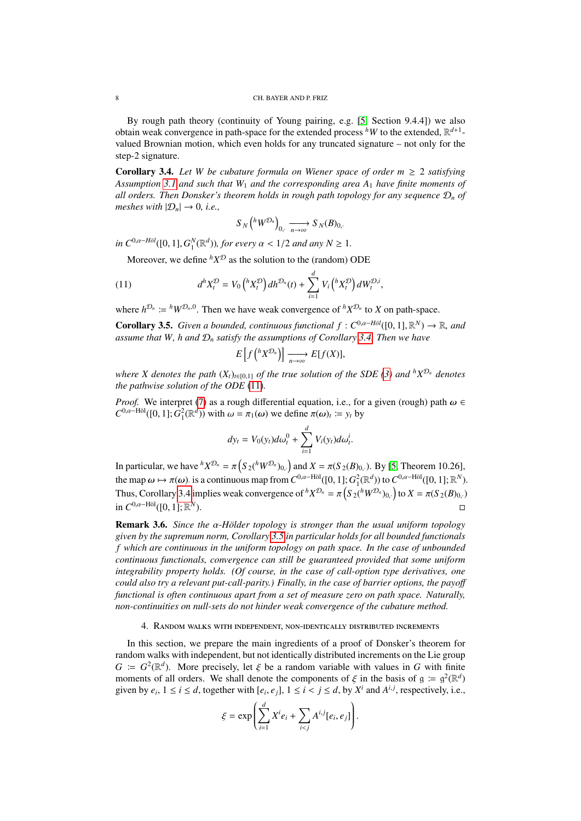By rough path theory (continuity of Young pairing, e.g. [\[5,](#page-13-11) Section 9.4.4]) we also obtain weak convergence in path-space for the extended process  $^hW$  to the extended,  $\mathbb{R}^{d+1}$ valued Brownian motion, which even holds for any truncated signature – not only for the step-2 signature.

<span id="page-7-1"></span>**Corollary 3.4.** Let W be cubature formula on Wiener space of order  $m \geq 2$  satisfying *Assumption [3.1](#page-5-2) and such that W*<sup>1</sup> *and the corresponding area A*<sup>1</sup> *have finite moments of all orders. Then Donsker's theorem holds in rough path topology for any sequence*  $\mathcal{D}_n$  *of meshes with*  $|\mathcal{D}_n| \to 0$ , *i.e.*,

<span id="page-7-2"></span>
$$
S_N\left({}^h W^{\mathcal{D}_n}\right)_{0,\cdot} \xrightarrow[n \to \infty]{} S_N(B)_{0,\cdot}
$$

 $\int \int_0^{\infty} P^{(0,a-H\delta l)}([0,1], G_1^N(\mathbb{R}^d))$ , *for every*  $\alpha < 1/2$  *and any*  $N \ge 1$ *.* 

Moreover, we define  ${}^h X^{\mathcal{D}}$  as the solution to the (random) ODE

(11) 
$$
d^{h} X_{t}^{\mathcal{D}} = V_{0} \left( {}^{h} X_{t}^{\mathcal{D}} \right) dh^{\mathcal{D}_{n}}(t) + \sum_{i=1}^{d} V_{i} \left( {}^{h} X_{t}^{\mathcal{D}} \right) d W_{t}^{\mathcal{D},i},
$$

where  $h^{\mathcal{D}_n} := h \, W^{\mathcal{D}_n,0}$ . Then we have weak convergence of  ${}^h X^{\mathcal{D}_n}$  to *X* on path-space.

<span id="page-7-0"></span>**Corollary 3.5.** *Given a bounded, continuous functional f* :  $C^{0,a-H\partial l}([0,1],\mathbb{R}^N) \to \mathbb{R}$ *, and* assume that W<sub>b</sub> and D<sub>,</sub> satisfy the assumptions of Corollary 3.4. Then we have *assume that W, h and* D*<sup>n</sup> satisfy the assumptions of Corollary [3.4.](#page-7-1) Then we have*

$$
E\left[f\left({}^h X^{\mathcal{D}_n}\right)\right] \xrightarrow[n \to \infty]{} E[f(X)],
$$

*where X denotes the path*  $(X_t)_{t \in [0,1]}$  *of the true solution of the SDE [\(3\)](#page-2-2) and <sup><i>h*</sup> $X^{\mathcal{D}_n}$  denotes *the pathwise solution of the ODE* [\(11\)](#page-7-2)*.*

*Proof.* We interpret [\(7\)](#page-3-0) as a rough differential equation, i.e., for a given (rough) path  $\omega \in$  $C^{0,\alpha-\text{H\"ol}}([0, 1]; \tilde{G}_1^2(\mathbb{R}^d))$  with  $\omega = \pi_1(\omega)$  we define  $\pi(\omega)_t := y_t$  by

$$
dy_t = V_0(y_t)d\omega_t^0 + \sum_{i=1}^d V_i(y_t)d\omega_t^i.
$$

In particular, we have  ${}^h X^{\mathcal{D}_n} = \pi \left( S_2({}^h W^{\mathcal{D}_n})_0 \right)$  and  $X = \pi (S_2(B)_0)$ . By [\[5,](#page-13-11) Theorem 10.26], the map  $\omega \mapsto \pi(\omega)$  is a continuous map from  $C^{0,\alpha-\text{H\"ol}}([0,1]; G_1^2(\mathbb{R}^d))$  to  $C^{0,\alpha-\text{H\"ol}}([0,1]; \mathbb{R}^N)$ .<br>The contribution of the property of  $h_{X,D}^{(0,0)}$  of  $g_{X,D}^{(0,0)}$  is  $X_{\alpha}^{(0,0)}(0,0)$ . Thus, Corollary [3.4](#page-7-1) implies weak convergence of  ${}^h X^{\mathcal{D}_n} = \pi \left( S_2({}^h W^{\mathcal{D}_n})_{0,} \right)$  to  $X = \pi (S_2(B)_{0,} \cdot)$ in  $C^{0,\alpha-\text{H\"ol}}([0,1];\mathbb{R}^N)$ ).

**Remark 3.6.** *Since the* α*-Hölder topology is stronger than the usual uniform topology given by the supremum norm, Corollary [3.5](#page-7-0) in particular holds for all bounded functionals f which are continuous in the uniform topology on path space. In the case of unbounded continuous functionals, convergence can still be guaranteed provided that some uniform integrability property holds. (Of course, in the case of call-option type derivatives, one could also try a relevant put-call-parity.) Finally, in the case of barrier options, the payo*ff *functional is often continuous apart from a set of measure zero on path space. Naturally, non-continuities on null-sets do not hinder weak convergence of the cubature method.*

## 4. Random walks with independent, non-identically distributed increments

<span id="page-7-3"></span>In this section, we prepare the main ingredients of a proof of Donsker's theorem for random walks with independent, but not identically distributed increments on the Lie group *G* :=  $G^2(\mathbb{R}^d)$ . More precisely, let  $\xi$  be a random variable with values in *G* with finite moments of all orders. We shall denote the components of  $\xi$  in the basis of  $g := g^2(\mathbb{R}^d)$ . moments of all orders. We shall denote the components of  $\xi$  in the basis of  $g := g^2(\mathbb{R}^d)$ <br>given by eq.  $1 \le i \le d$  together with  $g \circ g \circ l \le i \le d$  by  $X^i$  and  $A^{i,j}$  respectively i.e. given by  $e_i$ ,  $1 \le i \le d$ , together with  $[e_i, e_j]$ ,  $1 \le i < j \le d$ , by  $X^i$  and  $A^{i,j}$ , respectively, i.e.,

$$
\xi = \exp\left(\sum_{i=1}^d X^i e_i + \sum_{i < j} A^{i,j} [e_i, e_j]\right).
$$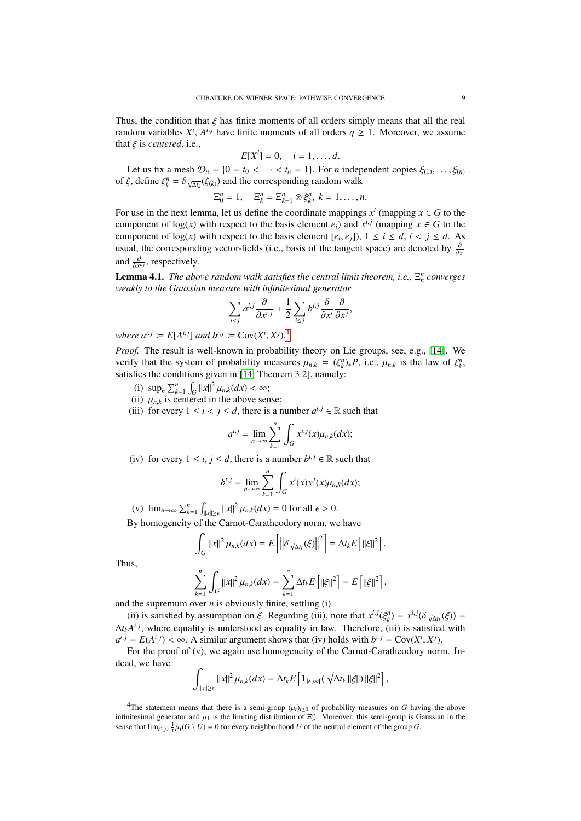Thus, the condition that  $\xi$  has finite moments of all orders simply means that all the real random variables  $X^i$ ,  $A^{i,j}$  have finite moments of all orders  $q \ge 1$ . Moreover, we assume that  $\xi$  is *centered*, i.e.,

$$
E[Xi] = 0, \quad i = 1, \dots, d.
$$

Let us fix a mesh  $\mathcal{D}_n = \{0 = t_0 < \cdots < t_n = 1\}$ . For *n* independent copies  $\xi_{(1)}, \ldots, \xi_{(n)}$ <br> $\xi$  define  $\xi^n = \delta$  —( $\xi_{(n)}$ ) and the corresponding random walk of  $\xi$ , define  $\xi_k^n = \delta \sqrt{\Delta t_k} (\xi(k))$  and the corresponding random walk

$$
\Xi_0^n=1,\quad \Xi_k^n=\Xi_{k-1}^n\otimes\xi_k^n,\ k=1,\ldots,n.
$$

For use in the next lemma, let us define the coordinate mappings  $x^i$  (mapping  $x \in G$  to the component of  $log(x)$  with respect to the basis element  $e_i$ ) and  $x^{i,j}$  (mapping  $x \in G$  to the component of  $log(x)$  with respect to the basis element  $[e_i, e_j]$ ),  $1 \le i \le d$ ,  $i < j \le d$ . As usual, the corresponding vector-fields (i.e., basis of the tangent space) are denoted by  $\frac{\partial}{\partial x^i}$ and  $\frac{\partial}{\partial x^{i,j}}$ , respectively.

<span id="page-8-1"></span>**Lemma 4.1.** *The above random walk satisfies the central limit theorem, i.e.,*  $\Xi_n^n$  *converges weakly to the Gaussian measure with infinitesimal generator*

$$
\sum_{i < j} a^{i,j} \frac{\partial}{\partial x^{i,j}} + \frac{1}{2} \sum_{i \le j} b^{i,j} \frac{\partial}{\partial x^i} \frac{\partial}{\partial x^j},
$$

*where*  $a^{i,j} := E[A^{i,j}]$  *and*  $b^{i,j} := Cov(X^i, X^j)$ <sup>1</sup>.

*Proof.* The result is well-known in probability theory on Lie groups, see, e.g., [\[14\]](#page-13-13). We verify that the system of probability measures  $\mu_{n,k} = (\xi_{k}^{n})_* P$ , i.e.,  $\mu_{n,k}$  is the law of  $\xi_{k}^{n}$ , estisfies the conditions given in [14]. Theorem 3.21 namely: satisfies the conditions given in [\[14,](#page-13-13) Theorem 3.2], namely:

- (i)  $\sup_n \sum_{k=1}^n \int_G ||x||^2 \mu_{n,k}(dx) < \infty;$ <br>
(ii)  $\mu_{n,k}$  is centered in the above ser
- (ii)  $\mu_{n,k}$  is centered in the above sense;<br>(iii) for every  $1 \le i \le j \le d$  there is a r
- (iii) for every  $1 \le i < j \le d$ , there is a number  $a^{i,j} \in \mathbb{R}$  such that

$$
a^{i,j} = \lim_{n \to \infty} \sum_{k=1}^n \int_G x^{i,j}(x) \mu_{n,k}(dx);
$$

(iv) for every  $1 \le i, j \le d$ , there is a number  $b^{i,j} \in \mathbb{R}$  such that

$$
b^{i,j} = \lim_{n \to \infty} \sum_{k=1}^n \int_G x^i(x) x^j(x) \mu_{n,k}(dx);
$$

(v)  $\lim_{n\to\infty}\sum_{k=1}^n$  $\int_{\|x\| \ge \epsilon} \|x\|^2 \mu_{n,k}(dx) = 0$  for all  $\epsilon > 0$ .

By homogeneity of the Carnot-Caratheodory norm, we have

$$
\int_G ||x||^2 \mu_{n,k}(dx) = E\left[\left\|\delta_{\sqrt{\Delta t_k}}(\xi)\right\|^2\right] = \Delta t_k E\left[\|\xi\|^2\right].
$$

Thus,

$$
\sum_{k=1}^n \int_G ||x||^2 \mu_{n,k}(dx) = \sum_{k=1}^n \Delta t_k E\left[||\xi||^2\right] = E\left[||\xi||^2\right],
$$

and the supremum over *n* is obviously finite, settling (i).

(ii) is satisfied by assumption on  $\xi$ . Regarding (iii), note that  $x^{i,j}(\xi^n_k) = x^{i,j}(\delta \sqrt{\Delta t_k}(\xi)) =$ <br> *A*<sup>*kl*</sup>, where equality is understood as equality in law. Therefore, (iii) is satisfied with  $\Delta t_k A^{i,j}$ , where equality is understood as equality in law. Therefore, (iii) is satisfied with  $a^{i,j} = E(A^{i,j}) < \infty$ . A similar argument shows that (iv) holds with  $b^{i,j} = \text{Cov}(X^i, X^j)$ .<br>For the proof of (v), we again use homogeneity of the Carnot-Caratheodory por

For the proof of (v), we again use homogeneity of the Carnot-Caratheodory norm. Indeed, we have

$$
\int_{\|x\|\geq \epsilon} \|x\|^2 \,\mu_{n,k}(dx) = \Delta t_k E\left[\mathbf{1}_{\epsilon,\infty[\left(\sqrt{\Delta t_k} \,||\xi||\right)||\xi||^2\right],
$$

<span id="page-8-0"></span><sup>&</sup>lt;sup>4</sup>The statement means that there is a semi-group  $(\mu_t)_{t\geq0}$  of probability measures on *G* having the above infinitesimal generator and  $\mu_1$  is the limiting distribution of  $\Xi_n^n$ . Moreover, this semi-group is Gaussian in the sense that  $\lim_{\Delta x \to 0} \frac{1}{\mu}(G \setminus U) = 0$  for every neighborhood  $U$  of the neutral element of the gr sense that  $\lim_{t\searrow0} \frac{1}{t}\mu_t(G \setminus U) = 0$  for every neighborhood *U* of the neutral element of the group *G*.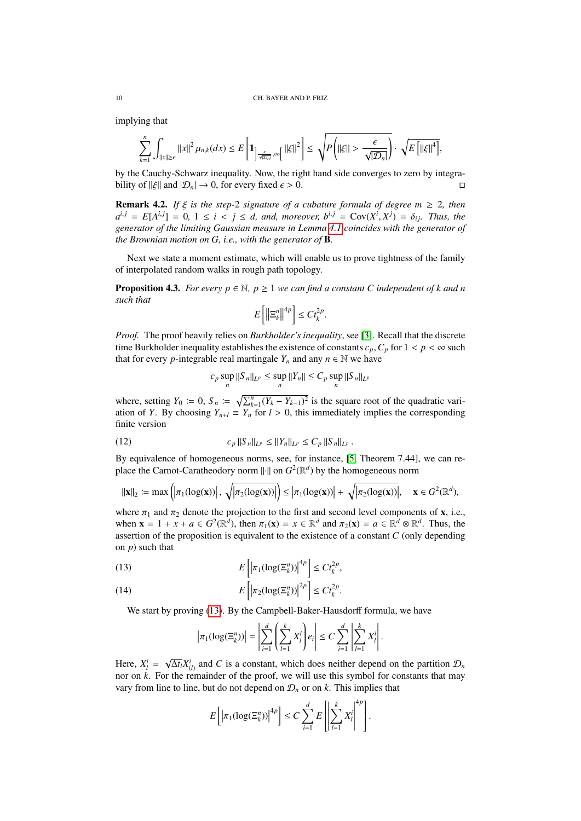implying that

$$
\sum_{k=1}^n\int_{\|x\|\geq \epsilon}\|x\|^2\,\mu_{n,k}(dx)\leq E\left[1_{\left|\frac{\epsilon}{\sqrt{|\mathcal{D}_n|}},\infty\right[}\,\|\xi\|^2\right]\leq \sqrt{P\left(\|\xi\|>\frac{\epsilon}{\sqrt{|\mathcal{D}_n|}}\right)}\cdot \sqrt{E\left[\|\xi\|^4\right]},
$$

by the Cauchy-Schwarz inequality. Now, the right hand side converges to zero by integrability of  $\|\xi\|$  and  $|\mathcal{D}_n| \to 0$ , for every fixed  $\epsilon > 0$ .

**Remark 4.2.** *If*  $\xi$  *is the step-2 signature of a cubature formula of degree m*  $\geq$  2*, then*  $a^{i,j} = E[A^{i,j}] = 0, 1 \le i \le j \le d$ , and, moreover,  $b^{i,j} = \text{Cov}(X^i, X^j) = \delta_{ij}$ . Thus, the generator of the limiting Gaussian measure in Lemma 4.1 coincides with the generator of *generator of the limiting Gaussian measure in Lemma [4.1](#page-8-1) coincides with the generator of the Brownian motion on G, i.e., with the generator of* B*.*

Next we state a moment estimate, which will enable us to prove tightness of the family of interpolated random walks in rough path topology.

<span id="page-9-3"></span>**Proposition 4.3.** *For every*  $p \in \mathbb{N}$ ,  $p \ge 1$  *we can find a constant C independent of k and n such that*

$$
E\left[\left\|\Xi_{k}^{n}\right\|^{4p}\right] \leq Ct_{k}^{2p}.
$$

*Proof.* The proof heavily relies on *Burkholder's inequality*, see [\[3\]](#page-13-14). Recall that the discrete time Burkholder inequality establishes the existence of constants  $c_p$ ,  $C_p$  for  $1 < p < \infty$  such that for every *p*-integrable real martingale  $Y_n$  and any  $n \in \mathbb{N}$  we have

<span id="page-9-2"></span>
$$
c_p \sup_n ||S_n||_{L^p} \le \sup_n ||Y_n|| \le C_p \sup_n ||S_n||_{L^p}
$$

where, setting  $Y_0 := 0$ ,  $S_n := \sqrt{\sum_{k=1}^n (Y_k - Y_{k-1})^2}$  is the square root of the quadratic variation of *Y*. By choosing  $Y_{n+l} = Y_n$  for  $l > 0$ , this immediately implies the corresponding finite version

(12) 
$$
c_p ||S_n||_{L^p} \le ||Y_n||_{L^p} \le C_p ||S_n||_{L^p}.
$$

By equivalence of homogeneous norms, see, for instance, [\[5,](#page-13-11) Theorem 7.44], we can replace the Carnot-Caratheodory norm  $\Vert \cdot \Vert$  on  $G^2(\mathbb{R}^d)$  by the homogeneous norm

$$
\|\mathbf{x}\|_2 := \max\Big(|\pi_1(\log(\mathbf{x}))| \, , \, \sqrt{|\pi_2(\log(\mathbf{x}))|}\Big) \le |\pi_1(\log(\mathbf{x}))| + \, \sqrt{|\pi_2(\log(\mathbf{x}))|}, \quad \mathbf{x} \in G^2(\mathbb{R}^d),
$$

where  $\pi_1$  and  $\pi_2$  denote the projection to the first and second level components of **x**, i.e., when  $\mathbf{x} = 1 + x + a \in G^2(\mathbb{R}^d)$ , then  $\pi_1(\mathbf{x}) = x \in \mathbb{R}^d$  and  $\pi_2(\mathbf{x}) = a \in \mathbb{R}^d \otimes \mathbb{R}^d$ . Thus, the assertion of the proposition is equivalent to the existence of a constant *C* (only depending on *p*) such that

<span id="page-9-0"></span>(13) 
$$
E\left[\left|\pi_1(\log(\Xi_k^n))\right|^{4p}\right] \leq C t_k^{2p},
$$

<span id="page-9-1"></span>(14) 
$$
E\left[\left|\pi_2(\log(\Xi_k^n))\right|^{2p}\right] \leq C t_k^{2p}.
$$

We start by proving [\(13\)](#page-9-0). By the Campbell-Baker-Hausdorff formula, we have

$$
\left|\pi_1(\log(\Xi_k^n))\right| = \left|\sum_{i=1}^d \left(\sum_{l=1}^k X_l^i\right) e_i\right| \leq C \sum_{i=1}^d \left|\sum_{l=1}^k X_l^i\right|.
$$

Here,  $X_l^i$  = √  $\overline{\Delta t_l} X^i_{(l)}$  and *C* is a constant, which does neither depend on the partition  $\mathcal{D}_n$ nor on *k*. For the remainder of the proof, we will use this symbol for constants that may vary from line to line, but do not depend on  $\mathcal{D}_n$  or on *k*. This implies that

$$
E\left[\left|\pi_1(\log(\Xi_k^n))\right|^{4p}\right] \leq C \sum_{i=1}^d E\left[\left|\sum_{l=1}^k X_l^i\right|^{4p}\right].
$$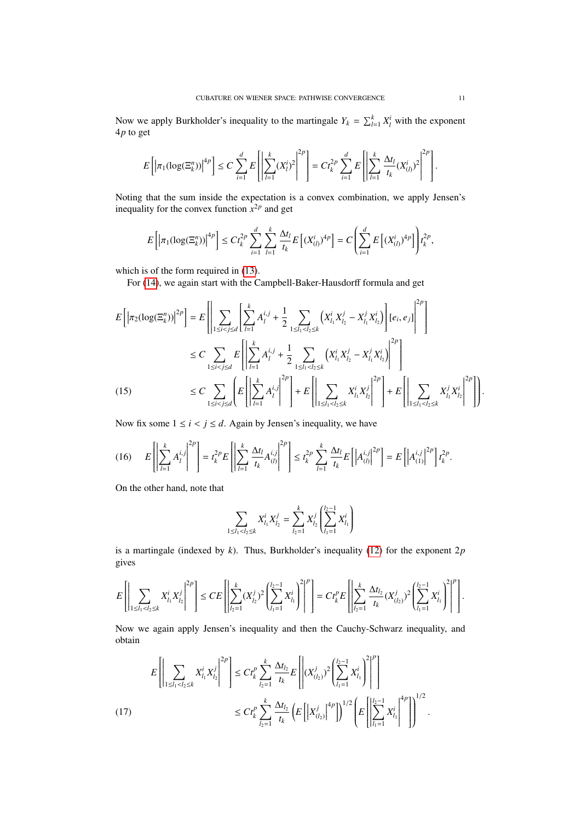Now we apply Burkholder's inequality to the martingale  $Y_k = \sum_{l=1}^k X_l^i$  with the exponent 4*p* to get

$$
E\left[\left|\pi_1(\log(\Xi_k^n))\right|^{4p}\right] \leq C \sum_{i=1}^d E\left[\left|\sum_{l=1}^k (X_l^i)^2\right|^{2p}\right] = C t_k^{2p} \sum_{i=1}^d E\left[\left|\sum_{l=1}^k \frac{\Delta t_l}{t_k} (X_{(l)}^i)^2\right|^{2p}\right].
$$

Noting that the sum inside the expectation is a convex combination, we apply Jensen's inequality for the convex function  $x^{2p}$  and get

$$
E\left[\left|\pi_1(\log(\Xi_k^n))\right|^{4p}\right] \le C t_k^{2p} \sum_{i=1}^d \sum_{l=1}^k \frac{\Delta t_l}{t_k} E\left[(X_{(l)}^i)^{4p}\right] = C \left(\sum_{i=1}^d E\left[(X_{(l)}^i)^{4p}\right]\right) t_k^{2p},
$$

which is of the form required in  $(13)$ .

For [\(14\)](#page-9-1), we again start with the Campbell-Baker-Hausdorff formula and get

$$
E\left[\left|\pi_{2}(\log(\Xi_{k}^{n}))\right|^{2p}\right] = E\left[\left|\sum_{1 \leq i < j \leq d} \left[\sum_{l=1}^{k} A_{l}^{i,j} + \frac{1}{2} \sum_{1 \leq l_{1} < l_{2} \leq k} \left(X_{l_{1}}^{i} X_{l_{2}}^{j} - X_{l_{1}}^{j} X_{l_{2}}^{i}\right)\right] [e_{i}, e_{j}]\right|^{2p}\right]
$$
\n
$$
\leq C \sum_{1 \leq i < j \leq d} E\left[\left|\sum_{l=1}^{k} A_{l}^{i,j} + \frac{1}{2} \sum_{1 \leq l_{1} < l_{2} \leq k} \left(X_{l_{1}}^{i} X_{l_{2}}^{j} - X_{l_{1}}^{j} X_{l_{2}}^{i}\right)\right|^{2p}\right]
$$
\n
$$
\leq C \sum_{1 \leq i < j \leq d} \left(E\left[\left|\sum_{l=1}^{k} A_{l}^{i,j}\right|^{2p}\right] + E\left[\left|\sum_{1 \leq l_{1} < l_{2} \leq k} X_{l_{1}}^{i} X_{l_{2}}^{j}\right|^{2p}\right] + E\left[\sum_{1 \leq l_{1} < l_{2} \leq k} X_{l_{1}}^{i} X_{l_{2}}^{j}\right]^{2p}\right].
$$
\n(15)

<span id="page-10-1"></span>Now fix some  $1 \le i < j \le d$ . Again by Jensen's inequality, we have

<span id="page-10-2"></span>
$$
(16) \t E\left[\left|\sum_{l=1}^k A_l^{i,j}\right|^{2p}\right] = t_k^{2p} E\left[\left|\sum_{l=1}^k \frac{\Delta t_l}{t_k} A_{(l)}^{i,j}\right|^{2p}\right] \leq t_k^{2p} \sum_{l=1}^k \frac{\Delta t_l}{t_k} E\left[\left|A_{(l)}^{i,j}\right|^{2p}\right] = E\left[\left|A_{(1)}^{i,j}\right|^{2p}\right] t_k^{2p}.
$$

On the other hand, note that

$$
\sum_{1 \leq l_1 < l_2 \leq k} X_{l_1}^i X_{l_2}^j = \sum_{l_2=1}^k X_{l_2}^j \left( \sum_{l_1=1}^{l_2-1} X_{l_1}^i \right)
$$

is a martingale (indexed by *k*). Thus, Burkholder's inequality [\(12\)](#page-9-2) for the exponent 2*p* gives

$$
E\left[\left|\sum_{1\leq l_1
$$

Now we again apply Jensen's inequality and then the Cauchy-Schwarz inequality, and obtain

<span id="page-10-0"></span>
$$
E\left[\left|\sum_{1\leq l_1  

$$
\leq Ct_k^p\sum_{l_2=1}^k\frac{\Delta t_{l_2}}{t_k}\left(E\left[\left|X_{(l_2)}^j\right|^{4p}\right]\right)^{1/2}\left(E\left[\sum_{l_1=1}^{l_2-1}X_{l_1}^i\right]^{4p}\right]\right)^{1/2}.
$$
$$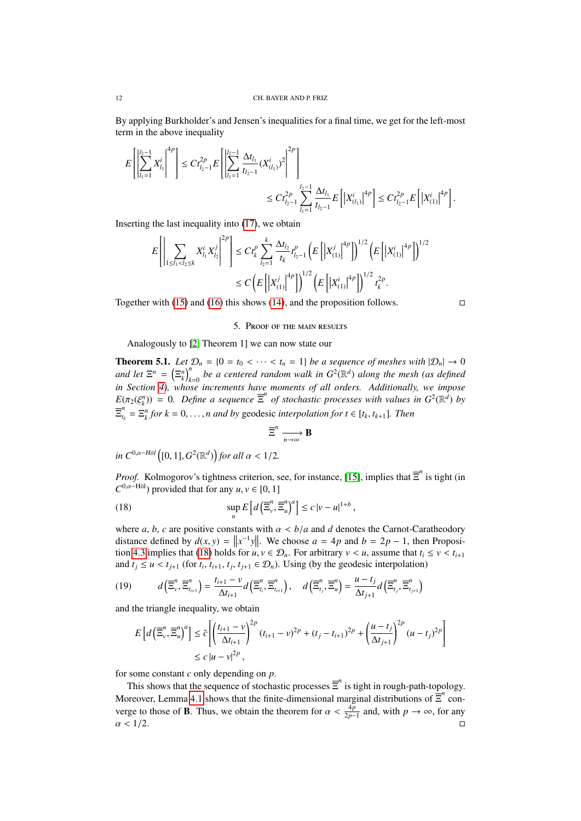By applying Burkholder's and Jensen's inequalities for a final time, we get for the left-most term in the above inequality

$$
E\left[\left|\sum_{l_1=1}^{l_2-1} X_{l_1}^i\right|^4\right] \leq C t_{l_2-1}^{2p} E\left[\left|\sum_{l_1=1}^{l_2-1} \frac{\Delta t_{l_1}}{t_{l_2-1}} (X_{(l_1)}^i)^2\right|^2\right] \\ \leq C t_{l_2-1}^{2p} \sum_{l_1=1}^{l_2-1} \frac{\Delta t_{l_1}}{t_{l_2-1}} E\left[\left|X_{(l_1)}^i\right|^{4p}\right] \leq C t_{l_2-1}^{2p} E\left[\left|X_{(1)}^i\right|^{4p}\right].
$$

Inserting the last inequality into [\(17\)](#page-10-0), we obtain

$$
E\left[\left|\sum_{1\leq l_1 < l_2 \leq k} X_{l_1}^i X_{l_2}^j \right|^{2p}\right] \leq C t_k^p \sum_{l_2=1}^k \frac{\Delta t_{l_2}}{t_k} t_{l_2-1}^p \left(E\left[\left|X_{(1)}^j\right|^{4p}\right]\right)^{1/2} \left(E\left[\left|X_{(1)}^i\right|^{4p}\right]\right)^{1/2} \\
\leq C \left(E\left[\left|X_{(1)}^j\right|^{4p}\right]\right)^{1/2} \left(E\left[\left|X_{(1)}^i\right|^{4p}\right]\right)^{1/2} t_k^{2p}.
$$

Together with [\(15\)](#page-10-1) and [\(16\)](#page-10-2) this shows [\(14\)](#page-9-1), and the proposition follows.  $\square$ 

# 5. Proof of the main results

Analogously to [\[2,](#page-13-8) Theorem 1] we can now state our

<span id="page-11-1"></span>**Theorem 5.1.** *Let*  $\mathcal{D}_n = \{0 = t_0 < \cdots < t_n = 1\}$  *be a sequence of meshes with*  $|\mathcal{D}_n| \to 0$ *and let*  $\Xi^n = \left(\Xi^n_k\right)_{k=0}^n$  *be a centered random walk in*  $G^2(\mathbb{R}^d)$  *along the mesh (as defined in Section [4\)](#page-7-3), whose increments have moments of all orders. Additionally, we impose*  $E(\pi_2(\xi^n_k)) = 0$ . Define a sequence  $\overline{\Xi}^n$  of stochastic processes with values in  $G^2(\mathbb{R}^d)$  by Ξ *n*  $t_k^n = \sum_k^n$  *for*  $k = 0, \ldots, n$  *and by* geodesic *interpolation for*  $t \in [t_k, t_{k+1}]$ *. Then* 

<span id="page-11-0"></span>
$$
\overline{\Xi}^n \xrightarrow[n \to \infty]{} \mathbf{B}
$$

 $\int$ *in*  $C^{0,\alpha-H\ddot{o}l}$  ([0, 1],  $G^2(\mathbb{R}^d)$ ) for all  $\alpha < 1/2$ *.* 

*Proof.* Kolmogorov's tightness criterion, see, for instance, [\[15\]](#page-13-15), implies that  $\overline{\Xi}^n$  is tight (in  $C^{0,\alpha-\text{H\"{o}l}}$  provided that for any *u*, *v* ∈ [0, 1]

(18) 
$$
\sup_n E\left[d\left(\overline{\Xi}^n_{\nu}, \overline{\Xi}^n_{u}\right)^a\right] \leq c\left|\nu-u\right|^{1+b},
$$

where *a*, *b*, *c* are positive constants with  $\alpha < b/a$  and *d* denotes the Carnot-Caratheodory distance defined by  $d(x, y) = \|x^{-1}y\|$ . We choose  $a = 4p$  and  $b = 2p - 1$ , then Proposition 4.3 implies that (18) holds for  $y, y \in \mathcal{D}$ . For arbitrary  $y \le y$  assume that  $t \le y \le tx$ . tion [4.3](#page-9-3) implies that [\(18\)](#page-11-0) holds for  $u, v \in \mathcal{D}_n$ . For arbitrary  $v < u$ , assume that  $t_i \le v < t_{i+1}$ and  $t_j \le u < t_{j+1}$  (for  $t_i$ ,  $t_{i+1}$ ,  $t_j$ ,  $t_{j+1} \in \mathcal{D}_n$ ). Using (by the geodesic interpolation)

$$
(19) \qquad d\left(\overline{\Xi}_{\nu}^{n}, \overline{\Xi}_{t_{i+1}}^{n}\right) = \frac{t_{i+1} - \nu}{\Delta t_{i+1}} d\left(\overline{\Xi}_{t_{i}}^{n}, \overline{\Xi}_{t_{i+1}}^{n}\right), \quad d\left(\overline{\Xi}_{t_{j}}^{n}, \overline{\Xi}_{u}^{n}\right) = \frac{u - t_{j}}{\Delta t_{j+1}} d\left(\overline{\Xi}_{t_{j}}^{n}, \overline{\Xi}_{t_{j+1}}^{n}\right)
$$

and the triangle inequality, we obtain

$$
E\left[d\left(\overline{\Xi}_{\nu}^{n},\overline{\Xi}_{u}^{n}\right)^{a}\right] \leq \tilde{c}\left[\left(\frac{t_{i+1}-\nu}{\Delta t_{i+1}}\right)^{2p}(t_{i+1}-\nu)^{2p}+(t_{j}-t_{i+1})^{2p}+\left(\frac{u-t_{j}}{\Delta t_{j+1}}\right)^{2p}(u-t_{j})^{2p}\right]
$$
  

$$
\leq c\left|u-\nu\right|^{2p},
$$

for some constant *c* only depending on *p*.

This shows that the sequence of stochastic processes  $\overline{\Xi}^n$  is tight in rough-path-topology. Moreover, Lemma [4.1](#page-8-1) shows that the finite-dimensional marginal distributions of  $\overline{\Xi}^n$  converge to those of **B**. Thus, we obtain the theorem for  $\alpha < \frac{4p}{2p-1}$  and, with  $p \to \infty$ , for any  $\alpha < 1/2$ .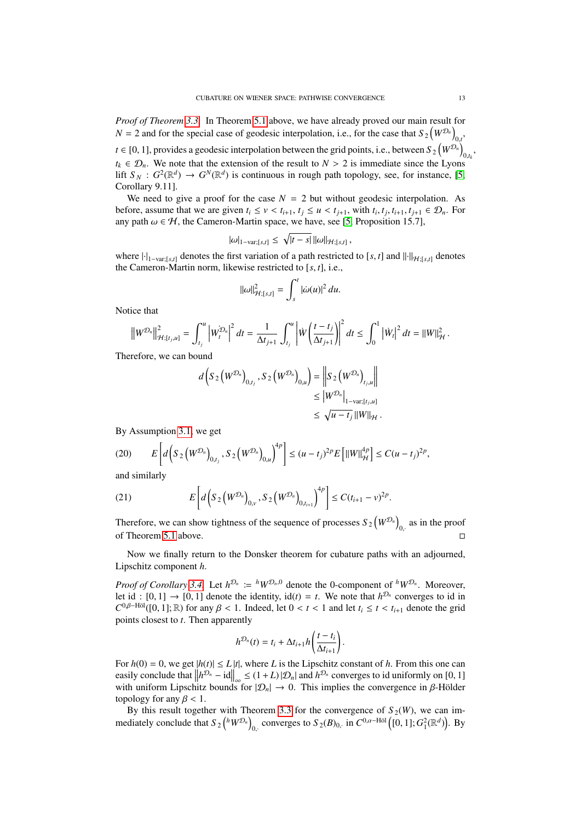*Proof of Theorem [3.3.](#page-6-0)* In Theorem [5.1](#page-11-1) above, we have already proved our main result for  $N = 2$  and for the special case of geodesic interpolation, i.e., for the case that  $S_2(W^{D_n})_{0}$ , 0,*t*  $t \in [0, 1]$ , provides a geodesic interpolation between the grid points, i.e., between  $S_2(W^{D_n})$  $\frac{0,t_k}{s}$  $t_k \in \mathcal{D}_n$ . We note that the extension of the result to  $N > 2$  is immediate since the Lyons lift  $S_N$ :  $G^2(\mathbb{R}^d) \to G^N(\mathbb{R}^d)$  is continuous in rough path topology, see, for instance, [\[5,](#page-13-11) Corollary 9.11].

We need to give a proof for the case  $N = 2$  but without geodesic interpolation. As before, assume that we are given  $t_i \le v < t_{i+1}$ ,  $t_j \le u < t_{j+1}$ , with  $t_i, t_j, t_{i+1}, t_{j+1} \in \mathcal{D}_n$ . For any path  $\omega \in \mathcal{H}$ , the Cameron-Martin space, we have, see [\[5,](#page-13-11) Proposition 15.7],

$$
|\omega|_{1-\text{var};[s,t]} \leq \sqrt{|t-s|} ||\omega||_{\mathcal{H};[s,t]},
$$

where  $\left|\cdot\right|_{1-\text{var},[s,t]}$  denotes the first variation of a path restricted to [*s*, *t*] and  $\left\|\cdot\right\|_{\mathcal{H}:[s,t]}$  denotes the Cameron-Martin norm, likewise restricted to [*s*, *<sup>t</sup>*], i.e.,

$$
\|\omega\|_{\mathcal{H};[s,t]}^2 = \int_s^t |\dot{\omega}(u)|^2 du.
$$

Notice that

$$
\left\|W^{\mathcal{D}_n}\right\|_{\mathcal{H};[t_j,u]}^2 = \int_{t_j}^u \left|W_t^{\mathcal{D}_n}\right|^2 dt = \frac{1}{\Delta t_{j+1}} \int_{t_j}^u \left| \dot{W}\left(\frac{t-t_j}{\Delta t_{j+1}}\right) \right|^2 dt \leq \int_0^1 \left|\dot{W}_t\right|^2 dt = \left\|W\right\|_{\mathcal{H}}^2.
$$

Therefore, we can bound

$$
d\left(S_{2}\left(W^{\mathcal{D}_{n}}\right)_{0,t_{j}}, S_{2}\left(W^{\mathcal{D}_{n}}\right)_{0,u}\right) = \left\|S_{2}\left(W^{\mathcal{D}_{n}}\right)_{t_{j},u}\right\|
$$
  

$$
\leq \left|W^{\mathcal{D}_{n}}\right|_{1-\text{var};[t_{j},u]}
$$
  

$$
\leq \sqrt{u-t_{j}}\left\|W\right\|_{\mathcal{H}}.
$$

By Assumption [3.1,](#page-5-2) we get

$$
(20) \qquad E\left[d\left(S_2\left(W^{\mathcal{D}_n}\right)_{0,t_j},S_2\left(W^{\mathcal{D}_n}\right)_{0,u}\right)^{4p}\right] \le (u-t_j)^{2p}E\left[\|W\|_{\mathcal{H}}^{4p}\right] \le C(u-t_j)^{2p},
$$

and similarly

(21) 
$$
E\left[d\left(S_2\left(W^{\mathcal{D}_n}\right)_{0,\nu},S_2\left(W^{\mathcal{D}_n}\right)_{0,t_{i+1}}\right)^{4p}\right] \leq C(t_{i+1}-\nu)^{2p}.
$$

Therefore, we can show tightness of the sequence of processes  $S_2(W^{\mathcal{D}_n})$  $_{0,1}$  as in the proof of Theorem [5.1](#page-11-1) above.

Now we finally return to the Donsker theorem for cubature paths with an adjourned, Lipschitz component *h*.

*Proof of Corollary* [3.4.](#page-7-1) Let  $h^{\mathcal{D}_n} := h \mathcal{W}^{\mathcal{D}_n,0}$  denote the 0-component of  $^h \mathcal{W}^{\mathcal{D}_n}$ . Moreover, let id :  $[0, 1] \rightarrow [0, 1]$  denote the identity,  $\text{id}(t) = t$ . We note that  $h^{\mathcal{D}_n}$  converges to id in  $C^{0,\beta-\text{H\"ol}(I)}$  on  $1 \cdot \mathbb{R}$  for any  $\beta < 1$ . Indeed, let  $0 < t < 1$  and let  $t \le t < t$ , denote the grid  $C^{0,\beta-\text{H\"ol}}([0, 1]; \mathbb{R})$  for any  $\beta < 1$ . Indeed, let  $0 < t < 1$  and let  $t_i \le t < t_{i+1}$  denote the grid points closest to  $t$ . Then annormatly points closest to *t*. Then apparently

$$
h^{\mathcal{D}_n}(t) = t_i + \Delta t_{i+1} h\left(\frac{t-t_i}{\Delta t_{i+1}}\right).
$$

For  $h(0) = 0$ , we get  $|h(t)| \le L |t|$ , where *L* is the Lipschitz constant of *h*. From this one can easily conclude that  $||h^{\mathcal{D}_n} - id||_{\infty} \le (1+L)|\mathcal{D}_n|$  and  $h^{\mathcal{D}_n}$  converges to id uniformly on [0, 1] with uniform Lipschitz bounds for  $|\mathcal{D}_n| \to 0$ . This implies the convergence in  $\beta$ -Hölder topology for any  $\beta$  < 1.

By this result together with Theorem [3.3](#page-6-0) for the convergence of  $S_2(W)$ , we can immediately conclude that  $S_2(^hW^{\mathcal{D}_n})$ o<sub>0</sub>. converges to  $S_2(B)_{0}$ , in  $C^{0,\alpha-\text{H\"ol}}([0,1];G_1^2(\mathbb{R}^d))$ . By